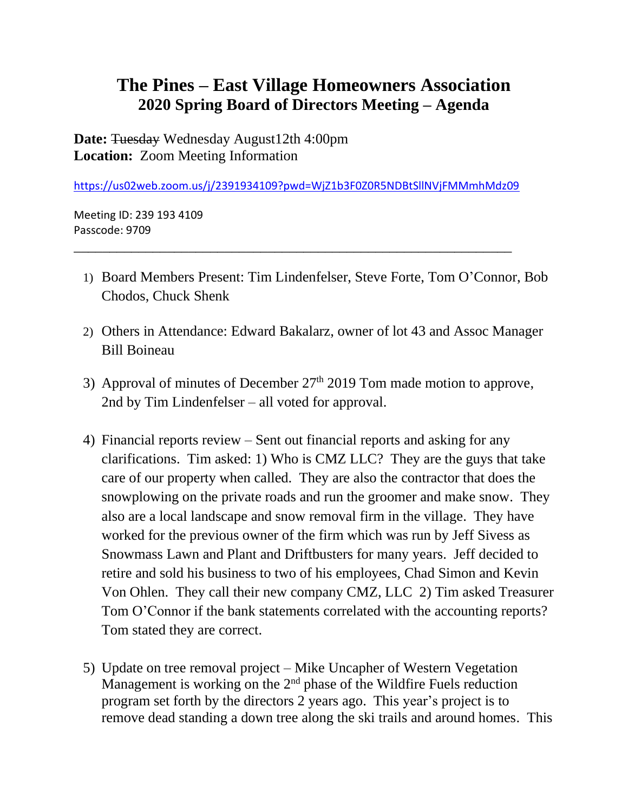## **The Pines – East Village Homeowners Association 2020 Spring Board of Directors Meeting – Agenda**

**Date:** Tuesday Wednesday August12th 4:00pm **Location:** Zoom Meeting Information

<https://us02web.zoom.us/j/2391934109?pwd=WjZ1b3F0Z0R5NDBtSllNVjFMMmhMdz09>

\_\_\_\_\_\_\_\_\_\_\_\_\_\_\_\_\_\_\_\_\_\_\_\_\_\_\_\_\_\_\_\_\_\_\_\_\_\_\_\_\_\_\_\_\_\_\_\_\_\_\_\_\_\_\_\_\_\_\_\_\_

Meeting ID: 239 193 4109 Passcode: 9709

- 1) Board Members Present: Tim Lindenfelser, Steve Forte, Tom O'Connor, Bob Chodos, Chuck Shenk
- 2) Others in Attendance: Edward Bakalarz, owner of lot 43 and Assoc Manager Bill Boineau
- 3) Approval of minutes of December  $27<sup>th</sup>$  2019 Tom made motion to approve, 2nd by Tim Lindenfelser – all voted for approval.
- 4) Financial reports review Sent out financial reports and asking for any clarifications. Tim asked: 1) Who is CMZ LLC? They are the guys that take care of our property when called. They are also the contractor that does the snowplowing on the private roads and run the groomer and make snow. They also are a local landscape and snow removal firm in the village. They have worked for the previous owner of the firm which was run by Jeff Sivess as Snowmass Lawn and Plant and Driftbusters for many years. Jeff decided to retire and sold his business to two of his employees, Chad Simon and Kevin Von Ohlen. They call their new company CMZ, LLC 2) Tim asked Treasurer Tom O'Connor if the bank statements correlated with the accounting reports? Tom stated they are correct.
- 5) Update on tree removal project Mike Uncapher of Western Vegetation Management is working on the 2nd phase of the Wildfire Fuels reduction program set forth by the directors 2 years ago. This year's project is to remove dead standing a down tree along the ski trails and around homes. This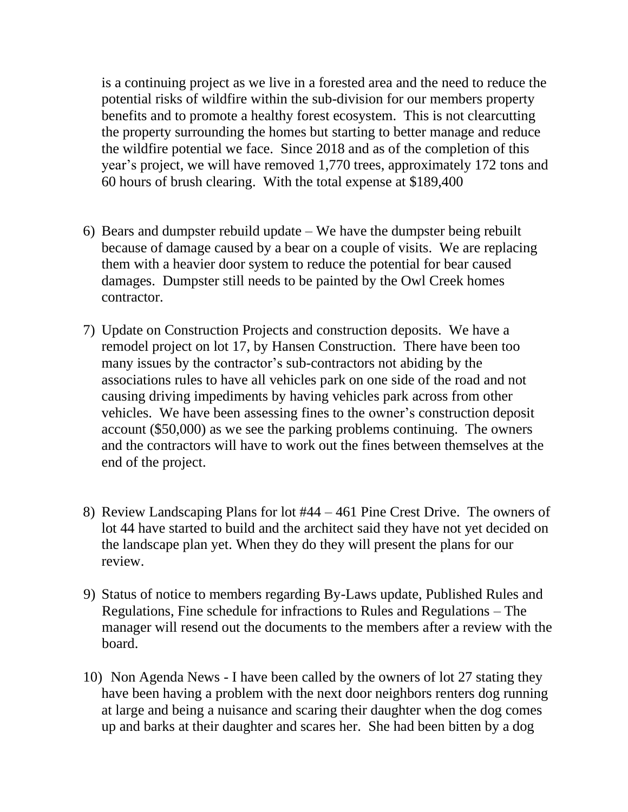is a continuing project as we live in a forested area and the need to reduce the potential risks of wildfire within the sub-division for our members property benefits and to promote a healthy forest ecosystem. This is not clearcutting the property surrounding the homes but starting to better manage and reduce the wildfire potential we face. Since 2018 and as of the completion of this year's project, we will have removed 1,770 trees, approximately 172 tons and 60 hours of brush clearing. With the total expense at \$189,400

- 6) Bears and dumpster rebuild update We have the dumpster being rebuilt because of damage caused by a bear on a couple of visits. We are replacing them with a heavier door system to reduce the potential for bear caused damages. Dumpster still needs to be painted by the Owl Creek homes contractor.
- 7) Update on Construction Projects and construction deposits. We have a remodel project on lot 17, by Hansen Construction. There have been too many issues by the contractor's sub-contractors not abiding by the associations rules to have all vehicles park on one side of the road and not causing driving impediments by having vehicles park across from other vehicles. We have been assessing fines to the owner's construction deposit account (\$50,000) as we see the parking problems continuing. The owners and the contractors will have to work out the fines between themselves at the end of the project.
- 8) Review Landscaping Plans for lot #44 461 Pine Crest Drive. The owners of lot 44 have started to build and the architect said they have not yet decided on the landscape plan yet. When they do they will present the plans for our review.
- 9) Status of notice to members regarding By-Laws update, Published Rules and Regulations, Fine schedule for infractions to Rules and Regulations – The manager will resend out the documents to the members after a review with the board.
- 10) Non Agenda News I have been called by the owners of lot 27 stating they have been having a problem with the next door neighbors renters dog running at large and being a nuisance and scaring their daughter when the dog comes up and barks at their daughter and scares her. She had been bitten by a dog